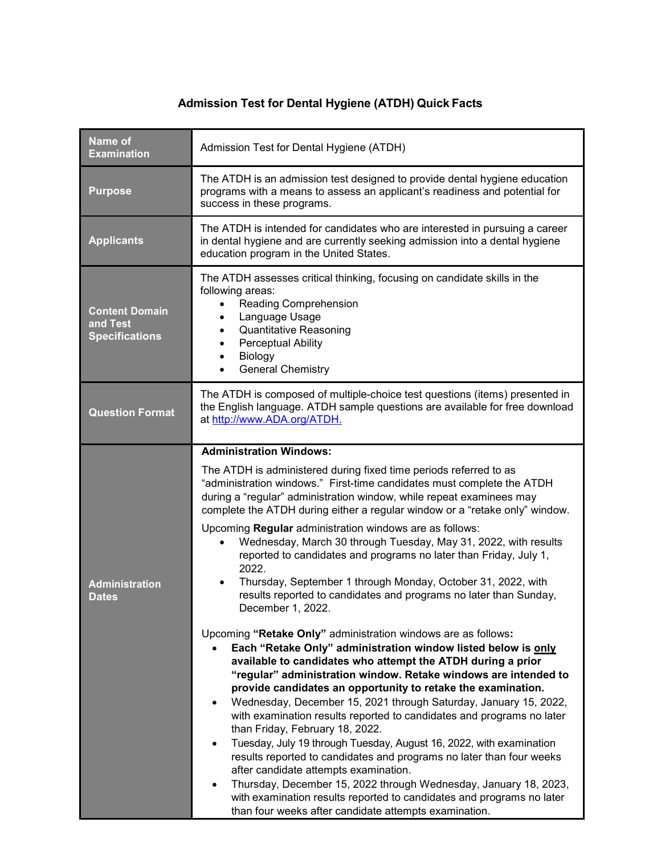## **Admission Test for Dental Hygiene (ATDH) Quick Facts**

| Name of<br><b>Examination</b>                              | Admission Test for Dental Hygiene (ATDH)                                                                                                                                                                                                                                                                                                                                                                                                                                                                                                                                                                                                                                                                                                                                                                                                                                                                                                                                                                                                                                                                                                                                                                                                                                                                                                                                                                                                                                                                                                                                         |  |  |
|------------------------------------------------------------|----------------------------------------------------------------------------------------------------------------------------------------------------------------------------------------------------------------------------------------------------------------------------------------------------------------------------------------------------------------------------------------------------------------------------------------------------------------------------------------------------------------------------------------------------------------------------------------------------------------------------------------------------------------------------------------------------------------------------------------------------------------------------------------------------------------------------------------------------------------------------------------------------------------------------------------------------------------------------------------------------------------------------------------------------------------------------------------------------------------------------------------------------------------------------------------------------------------------------------------------------------------------------------------------------------------------------------------------------------------------------------------------------------------------------------------------------------------------------------------------------------------------------------------------------------------------------------|--|--|
| <b>Purpose</b>                                             | The ATDH is an admission test designed to provide dental hygiene education<br>programs with a means to assess an applicant's readiness and potential for<br>success in these programs.                                                                                                                                                                                                                                                                                                                                                                                                                                                                                                                                                                                                                                                                                                                                                                                                                                                                                                                                                                                                                                                                                                                                                                                                                                                                                                                                                                                           |  |  |
| <b>Applicants</b>                                          | The ATDH is intended for candidates who are interested in pursuing a career<br>in dental hygiene and are currently seeking admission into a dental hygiene<br>education program in the United States.                                                                                                                                                                                                                                                                                                                                                                                                                                                                                                                                                                                                                                                                                                                                                                                                                                                                                                                                                                                                                                                                                                                                                                                                                                                                                                                                                                            |  |  |
| <b>Content Domain</b><br>and Test<br><b>Specifications</b> | The ATDH assesses critical thinking, focusing on candidate skills in the<br>following areas:<br>Reading Comprehension<br>Language Usage<br>$\bullet$<br><b>Quantitative Reasoning</b><br>$\bullet$<br><b>Perceptual Ability</b><br>$\bullet$<br>Biology<br>$\bullet$<br><b>General Chemistry</b><br>$\bullet$                                                                                                                                                                                                                                                                                                                                                                                                                                                                                                                                                                                                                                                                                                                                                                                                                                                                                                                                                                                                                                                                                                                                                                                                                                                                    |  |  |
| <b>Question Format</b>                                     | The ATDH is composed of multiple-choice test questions (items) presented in<br>the English language. ATDH sample questions are available for free download<br>at http://www.ADA.org/ATDH.                                                                                                                                                                                                                                                                                                                                                                                                                                                                                                                                                                                                                                                                                                                                                                                                                                                                                                                                                                                                                                                                                                                                                                                                                                                                                                                                                                                        |  |  |
| <b>Administration</b><br><b>Dates</b>                      | <b>Administration Windows:</b><br>The ATDH is administered during fixed time periods referred to as<br>"administration windows." First-time candidates must complete the ATDH<br>during a "regular" administration window, while repeat examinees may<br>complete the ATDH during either a regular window or a "retake only" window.<br>Upcoming Regular administration windows are as follows:<br>Wednesday, March 30 through Tuesday, May 31, 2022, with results<br>reported to candidates and programs no later than Friday, July 1,<br>2022.<br>Thursday, September 1 through Monday, October 31, 2022, with<br>results reported to candidates and programs no later than Sunday,<br>December 1, 2022.<br>Upcoming "Retake Only" administration windows are as follows:<br>Each "Retake Only" administration window listed below is only<br>available to candidates who attempt the ATDH during a prior<br>"regular" administration window. Retake windows are intended to<br>provide candidates an opportunity to retake the examination.<br>Wednesday, December 15, 2021 through Saturday, January 15, 2022,<br>$\bullet$<br>with examination results reported to candidates and programs no later<br>than Friday, February 18, 2022.<br>Tuesday, July 19 through Tuesday, August 16, 2022, with examination<br>results reported to candidates and programs no later than four weeks<br>after candidate attempts examination.<br>Thursday, December 15, 2022 through Wednesday, January 18, 2023,<br>with examination results reported to candidates and programs no later |  |  |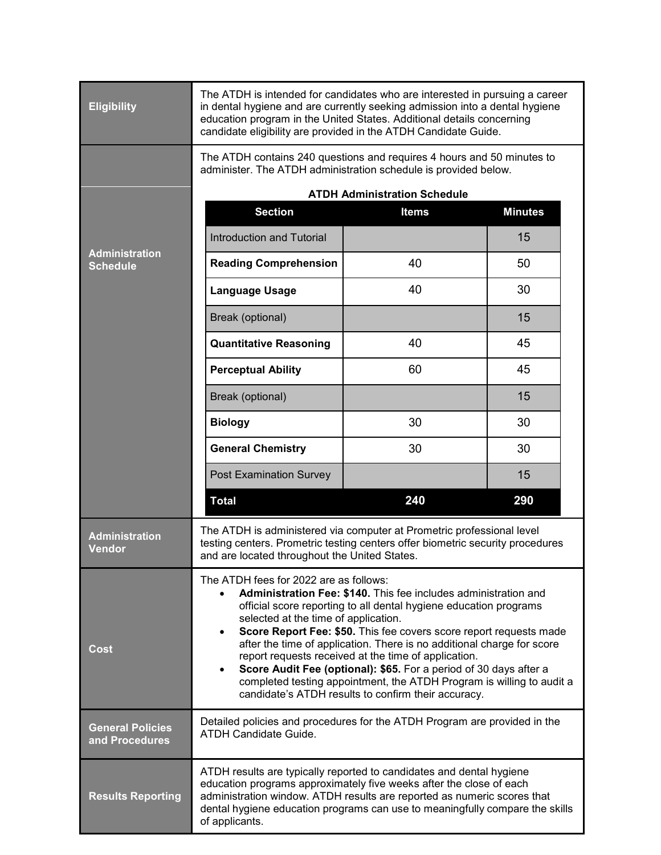| <b>Eligibility</b>                        | The ATDH is intended for candidates who are interested in pursuing a career<br>in dental hygiene and are currently seeking admission into a dental hygiene<br>education program in the United States. Additional details concerning<br>candidate eligibility are provided in the ATDH Candidate Guide.                                                                                                                                                                                                                                                                                                                                                                     |              |                |  |
|-------------------------------------------|----------------------------------------------------------------------------------------------------------------------------------------------------------------------------------------------------------------------------------------------------------------------------------------------------------------------------------------------------------------------------------------------------------------------------------------------------------------------------------------------------------------------------------------------------------------------------------------------------------------------------------------------------------------------------|--------------|----------------|--|
|                                           | The ATDH contains 240 questions and requires 4 hours and 50 minutes to<br>administer. The ATDH administration schedule is provided below.                                                                                                                                                                                                                                                                                                                                                                                                                                                                                                                                  |              |                |  |
| <b>Administration</b><br><b>Schedule</b>  | <b>ATDH Administration Schedule</b>                                                                                                                                                                                                                                                                                                                                                                                                                                                                                                                                                                                                                                        |              |                |  |
|                                           | <b>Section</b>                                                                                                                                                                                                                                                                                                                                                                                                                                                                                                                                                                                                                                                             | <b>Items</b> | <b>Minutes</b> |  |
|                                           | <b>Introduction and Tutorial</b>                                                                                                                                                                                                                                                                                                                                                                                                                                                                                                                                                                                                                                           |              | 15             |  |
|                                           | <b>Reading Comprehension</b>                                                                                                                                                                                                                                                                                                                                                                                                                                                                                                                                                                                                                                               | 40           | 50             |  |
|                                           | <b>Language Usage</b>                                                                                                                                                                                                                                                                                                                                                                                                                                                                                                                                                                                                                                                      | 40           | 30             |  |
|                                           | Break (optional)                                                                                                                                                                                                                                                                                                                                                                                                                                                                                                                                                                                                                                                           |              | 15             |  |
|                                           | <b>Quantitative Reasoning</b>                                                                                                                                                                                                                                                                                                                                                                                                                                                                                                                                                                                                                                              | 40           | 45             |  |
|                                           | <b>Perceptual Ability</b>                                                                                                                                                                                                                                                                                                                                                                                                                                                                                                                                                                                                                                                  | 60           | 45             |  |
|                                           | Break (optional)                                                                                                                                                                                                                                                                                                                                                                                                                                                                                                                                                                                                                                                           |              | 15             |  |
|                                           | <b>Biology</b>                                                                                                                                                                                                                                                                                                                                                                                                                                                                                                                                                                                                                                                             | 30           | 30             |  |
|                                           | <b>General Chemistry</b>                                                                                                                                                                                                                                                                                                                                                                                                                                                                                                                                                                                                                                                   | 30           | 30             |  |
|                                           | Post Examination Survey                                                                                                                                                                                                                                                                                                                                                                                                                                                                                                                                                                                                                                                    |              | 15             |  |
|                                           | <b>Total</b>                                                                                                                                                                                                                                                                                                                                                                                                                                                                                                                                                                                                                                                               | 240          | 290            |  |
| <b>Administration</b><br><b>Vendor</b>    | The ATDH is administered via computer at Prometric professional level<br>testing centers. Prometric testing centers offer biometric security procedures<br>and are located throughout the United States.                                                                                                                                                                                                                                                                                                                                                                                                                                                                   |              |                |  |
| Cost                                      | The ATDH fees for 2022 are as follows:<br>Administration Fee: \$140. This fee includes administration and<br>$\bullet$<br>official score reporting to all dental hygiene education programs<br>selected at the time of application.<br>Score Report Fee: \$50. This fee covers score report requests made<br>$\bullet$<br>after the time of application. There is no additional charge for score<br>report requests received at the time of application.<br>Score Audit Fee (optional): \$65. For a period of 30 days after a<br>$\bullet$<br>completed testing appointment, the ATDH Program is willing to audit a<br>candidate's ATDH results to confirm their accuracy. |              |                |  |
| <b>General Policies</b><br>and Procedures | Detailed policies and procedures for the ATDH Program are provided in the<br><b>ATDH Candidate Guide.</b>                                                                                                                                                                                                                                                                                                                                                                                                                                                                                                                                                                  |              |                |  |
| <b>Results Reporting</b>                  | ATDH results are typically reported to candidates and dental hygiene<br>education programs approximately five weeks after the close of each<br>administration window. ATDH results are reported as numeric scores that<br>dental hygiene education programs can use to meaningfully compare the skills<br>of applicants.                                                                                                                                                                                                                                                                                                                                                   |              |                |  |